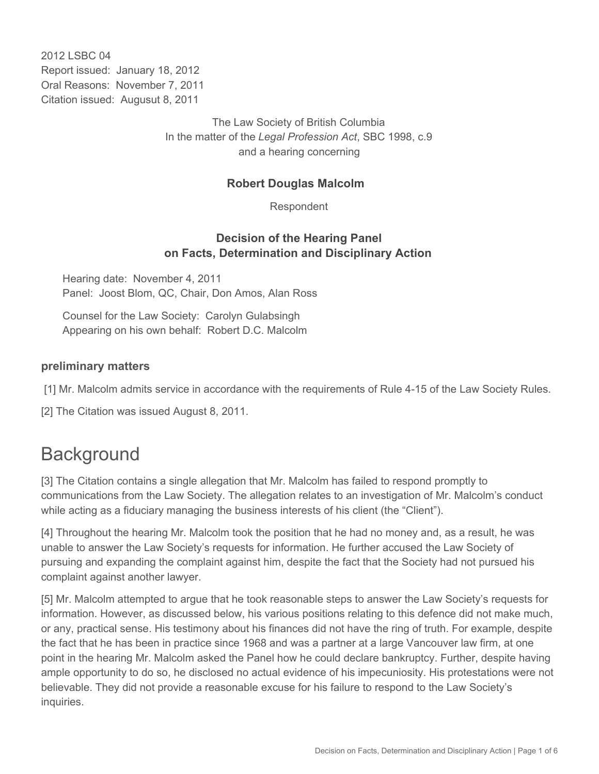2012 LSBC 04 Report issued: January 18, 2012 Oral Reasons: November 7, 2011 Citation issued: Augusut 8, 2011

> The Law Society of British Columbia In the matter of the *Legal Profession Act*, SBC 1998, c.9 and a hearing concerning

### **Robert Douglas Malcolm**

Respondent

### **Decision of the Hearing Panel on Facts, Determination and Disciplinary Action**

Hearing date: November 4, 2011 Panel: Joost Blom, QC, Chair, Don Amos, Alan Ross

Counsel for the Law Society: Carolyn Gulabsingh Appearing on his own behalf: Robert D.C. Malcolm

#### **preliminary matters**

[1] Mr. Malcolm admits service in accordance with the requirements of Rule 4-15 of the Law Society Rules.

[2] The Citation was issued August 8, 2011.

## **Background**

[3] The Citation contains a single allegation that Mr. Malcolm has failed to respond promptly to communications from the Law Society. The allegation relates to an investigation of Mr. Malcolm's conduct while acting as a fiduciary managing the business interests of his client (the "Client").

[4] Throughout the hearing Mr. Malcolm took the position that he had no money and, as a result, he was unable to answer the Law Society's requests for information. He further accused the Law Society of pursuing and expanding the complaint against him, despite the fact that the Society had not pursued his complaint against another lawyer.

[5] Mr. Malcolm attempted to argue that he took reasonable steps to answer the Law Society's requests for information. However, as discussed below, his various positions relating to this defence did not make much, or any, practical sense. His testimony about his finances did not have the ring of truth. For example, despite the fact that he has been in practice since 1968 and was a partner at a large Vancouver law firm, at one point in the hearing Mr. Malcolm asked the Panel how he could declare bankruptcy. Further, despite having ample opportunity to do so, he disclosed no actual evidence of his impecuniosity. His protestations were not believable. They did not provide a reasonable excuse for his failure to respond to the Law Society's inquiries.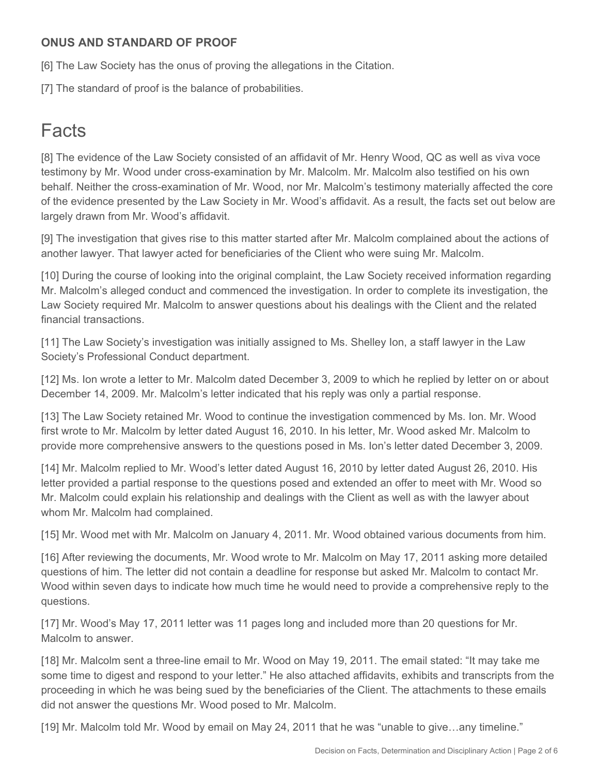## **ONUS AND STANDARD OF PROOF**

[6] The Law Society has the onus of proving the allegations in the Citation.

[7] The standard of proof is the balance of probabilities.

## Facts

[8] The evidence of the Law Society consisted of an affidavit of Mr. Henry Wood, QC as well as viva voce testimony by Mr. Wood under cross-examination by Mr. Malcolm. Mr. Malcolm also testified on his own behalf. Neither the cross-examination of Mr. Wood, nor Mr. Malcolm's testimony materially affected the core of the evidence presented by the Law Society in Mr. Wood's affidavit. As a result, the facts set out below are largely drawn from Mr. Wood's affidavit.

[9] The investigation that gives rise to this matter started after Mr. Malcolm complained about the actions of another lawyer. That lawyer acted for beneficiaries of the Client who were suing Mr. Malcolm.

[10] During the course of looking into the original complaint, the Law Society received information regarding Mr. Malcolm's alleged conduct and commenced the investigation. In order to complete its investigation, the Law Society required Mr. Malcolm to answer questions about his dealings with the Client and the related financial transactions.

[11] The Law Society's investigation was initially assigned to Ms. Shelley Ion, a staff lawyer in the Law Society's Professional Conduct department.

[12] Ms. Ion wrote a letter to Mr. Malcolm dated December 3, 2009 to which he replied by letter on or about December 14, 2009. Mr. Malcolm's letter indicated that his reply was only a partial response.

[13] The Law Society retained Mr. Wood to continue the investigation commenced by Ms. Ion. Mr. Wood first wrote to Mr. Malcolm by letter dated August 16, 2010. In his letter, Mr. Wood asked Mr. Malcolm to provide more comprehensive answers to the questions posed in Ms. Ion's letter dated December 3, 2009.

[14] Mr. Malcolm replied to Mr. Wood's letter dated August 16, 2010 by letter dated August 26, 2010. His letter provided a partial response to the questions posed and extended an offer to meet with Mr. Wood so Mr. Malcolm could explain his relationship and dealings with the Client as well as with the lawyer about whom Mr. Malcolm had complained.

[15] Mr. Wood met with Mr. Malcolm on January 4, 2011. Mr. Wood obtained various documents from him.

[16] After reviewing the documents, Mr. Wood wrote to Mr. Malcolm on May 17, 2011 asking more detailed questions of him. The letter did not contain a deadline for response but asked Mr. Malcolm to contact Mr. Wood within seven days to indicate how much time he would need to provide a comprehensive reply to the questions.

[17] Mr. Wood's May 17, 2011 letter was 11 pages long and included more than 20 questions for Mr. Malcolm to answer.

[18] Mr. Malcolm sent a three-line email to Mr. Wood on May 19, 2011. The email stated: "It may take me some time to digest and respond to your letter." He also attached affidavits, exhibits and transcripts from the proceeding in which he was being sued by the beneficiaries of the Client. The attachments to these emails did not answer the questions Mr. Wood posed to Mr. Malcolm.

[19] Mr. Malcolm told Mr. Wood by email on May 24, 2011 that he was "unable to give…any timeline."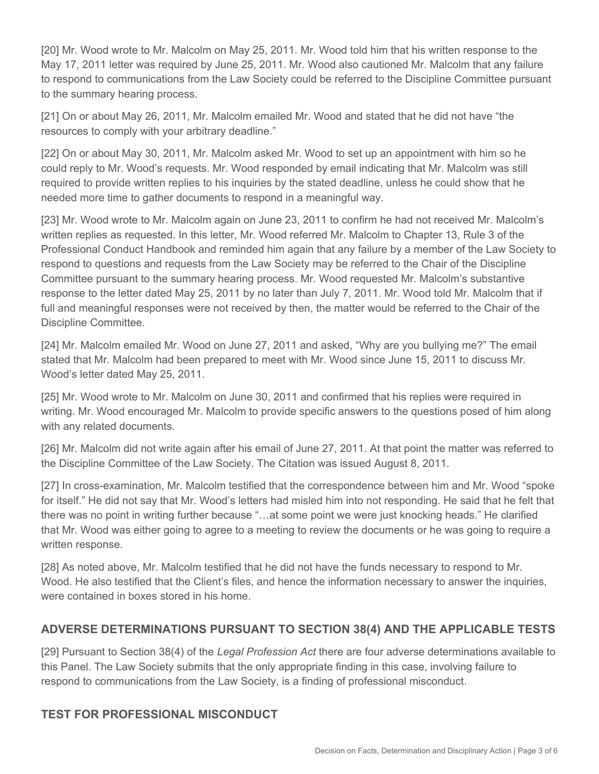[20] Mr. Wood wrote to Mr. Malcolm on May 25, 2011. Mr. Wood told him that his written response to the May 17, 2011 letter was required by June 25, 2011. Mr. Wood also cautioned Mr. Malcolm that any failure to respond to communications from the Law Society could be referred to the Discipline Committee pursuant to the summary hearing process.

[21] On or about May 26, 2011, Mr. Malcolm emailed Mr. Wood and stated that he did not have "the resources to comply with your arbitrary deadline."

[22] On or about May 30, 2011, Mr. Malcolm asked Mr. Wood to set up an appointment with him so he could reply to Mr. Wood's requests. Mr. Wood responded by email indicating that Mr. Malcolm was still required to provide written replies to his inquiries by the stated deadline, unless he could show that he needed more time to gather documents to respond in a meaningful way.

[23] Mr. Wood wrote to Mr. Malcolm again on June 23, 2011 to confirm he had not received Mr. Malcolm's written replies as requested. In this letter, Mr. Wood referred Mr. Malcolm to Chapter 13, Rule 3 of the Professional Conduct Handbook and reminded him again that any failure by a member of the Law Society to respond to questions and requests from the Law Society may be referred to the Chair of the Discipline Committee pursuant to the summary hearing process. Mr. Wood requested Mr. Malcolm's substantive response to the letter dated May 25, 2011 by no later than July 7, 2011. Mr. Wood told Mr. Malcolm that if full and meaningful responses were not received by then, the matter would be referred to the Chair of the Discipline Committee.

[24] Mr. Malcolm emailed Mr. Wood on June 27, 2011 and asked, "Why are you bullying me?" The email stated that Mr. Malcolm had been prepared to meet with Mr. Wood since June 15, 2011 to discuss Mr. Wood's letter dated May 25, 2011.

[25] Mr. Wood wrote to Mr. Malcolm on June 30, 2011 and confirmed that his replies were required in writing. Mr. Wood encouraged Mr. Malcolm to provide specific answers to the questions posed of him along with any related documents.

[26] Mr. Malcolm did not write again after his email of June 27, 2011. At that point the matter was referred to the Discipline Committee of the Law Society. The Citation was issued August 8, 2011.

[27] In cross-examination, Mr. Malcolm testified that the correspondence between him and Mr. Wood "spoke for itself." He did not say that Mr. Wood's letters had misled him into not responding. He said that he felt that there was no point in writing further because "…at some point we were just knocking heads." He clarified that Mr. Wood was either going to agree to a meeting to review the documents or he was going to require a written response.

[28] As noted above, Mr. Malcolm testified that he did not have the funds necessary to respond to Mr. Wood. He also testified that the Client's files, and hence the information necessary to answer the inquiries, were contained in boxes stored in his home.

## **ADVERSE DETERMINATIONS PURSUANT TO SECTION 38(4) AND THE APPLICABLE TESTS**

[29] Pursuant to Section 38(4) of the *Legal Profession Act* there are four adverse determinations available to this Panel. The Law Society submits that the only appropriate finding in this case, involving failure to respond to communications from the Law Society, is a finding of professional misconduct.

## **TEST FOR PROFESSIONAL MISCONDUCT**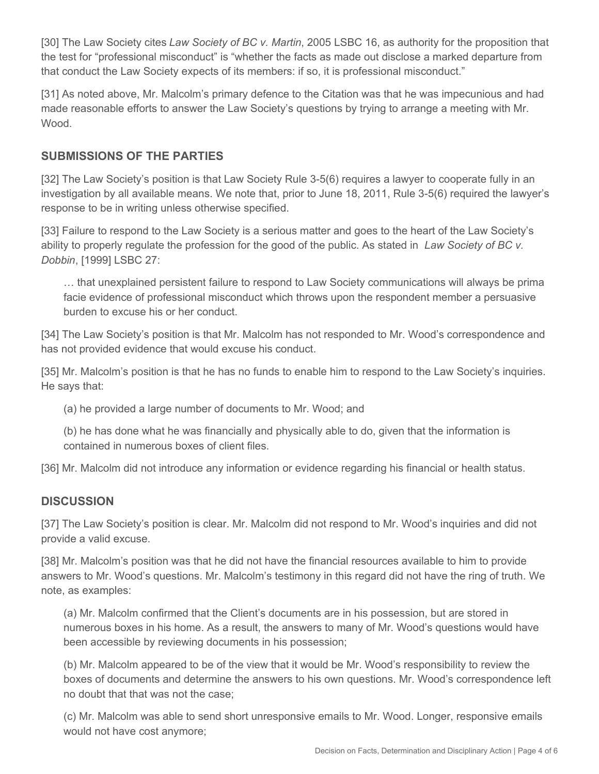[30] The Law Society cites *Law Society of BC v. Martin*, 2005 LSBC 16, as authority for the proposition that the test for "professional misconduct" is "whether the facts as made out disclose a marked departure from that conduct the Law Society expects of its members: if so, it is professional misconduct."

[31] As noted above, Mr. Malcolm's primary defence to the Citation was that he was impecunious and had made reasonable efforts to answer the Law Society's questions by trying to arrange a meeting with Mr. Wood.

## **SUBMISSIONS OF THE PARTIES**

[32] The Law Society's position is that Law Society Rule 3-5(6) requires a lawyer to cooperate fully in an investigation by all available means. We note that, prior to June 18, 2011, Rule 3-5(6) required the lawyer's response to be in writing unless otherwise specified.

[33] Failure to respond to the Law Society is a serious matter and goes to the heart of the Law Society's ability to properly regulate the profession for the good of the public. As stated in *Law Society of BC v. Dobbin*, [1999] LSBC 27:

… that unexplained persistent failure to respond to Law Society communications will always be prima facie evidence of professional misconduct which throws upon the respondent member a persuasive burden to excuse his or her conduct.

[34] The Law Society's position is that Mr. Malcolm has not responded to Mr. Wood's correspondence and has not provided evidence that would excuse his conduct.

[35] Mr. Malcolm's position is that he has no funds to enable him to respond to the Law Society's inquiries. He says that:

(a) he provided a large number of documents to Mr. Wood; and

(b) he has done what he was financially and physically able to do, given that the information is contained in numerous boxes of client files.

[36] Mr. Malcolm did not introduce any information or evidence regarding his financial or health status.

## **DISCUSSION**

[37] The Law Society's position is clear. Mr. Malcolm did not respond to Mr. Wood's inquiries and did not provide a valid excuse.

[38] Mr. Malcolm's position was that he did not have the financial resources available to him to provide answers to Mr. Wood's questions. Mr. Malcolm's testimony in this regard did not have the ring of truth. We note, as examples:

(a) Mr. Malcolm confirmed that the Client's documents are in his possession, but are stored in numerous boxes in his home. As a result, the answers to many of Mr. Wood's questions would have been accessible by reviewing documents in his possession;

(b) Mr. Malcolm appeared to be of the view that it would be Mr. Wood's responsibility to review the boxes of documents and determine the answers to his own questions. Mr. Wood's correspondence left no doubt that that was not the case;

(c) Mr. Malcolm was able to send short unresponsive emails to Mr. Wood. Longer, responsive emails would not have cost anymore;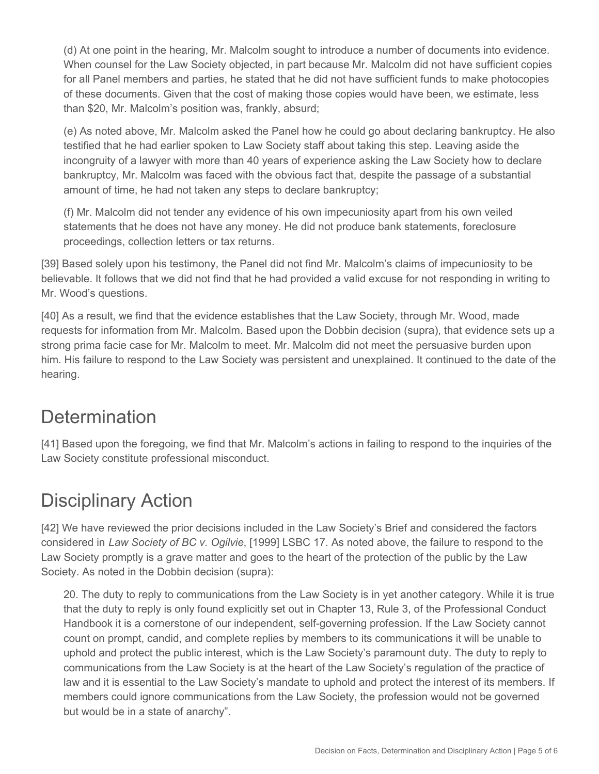(d) At one point in the hearing, Mr. Malcolm sought to introduce a number of documents into evidence. When counsel for the Law Society objected, in part because Mr. Malcolm did not have sufficient copies for all Panel members and parties, he stated that he did not have sufficient funds to make photocopies of these documents. Given that the cost of making those copies would have been, we estimate, less than \$20, Mr. Malcolm's position was, frankly, absurd;

(e) As noted above, Mr. Malcolm asked the Panel how he could go about declaring bankruptcy. He also testified that he had earlier spoken to Law Society staff about taking this step. Leaving aside the incongruity of a lawyer with more than 40 years of experience asking the Law Society how to declare bankruptcy, Mr. Malcolm was faced with the obvious fact that, despite the passage of a substantial amount of time, he had not taken any steps to declare bankruptcy;

(f) Mr. Malcolm did not tender any evidence of his own impecuniosity apart from his own veiled statements that he does not have any money. He did not produce bank statements, foreclosure proceedings, collection letters or tax returns.

[39] Based solely upon his testimony, the Panel did not find Mr. Malcolm's claims of impecuniosity to be believable. It follows that we did not find that he had provided a valid excuse for not responding in writing to Mr. Wood's questions.

[40] As a result, we find that the evidence establishes that the Law Society, through Mr. Wood, made requests for information from Mr. Malcolm. Based upon the Dobbin decision (supra), that evidence sets up a strong prima facie case for Mr. Malcolm to meet. Mr. Malcolm did not meet the persuasive burden upon him. His failure to respond to the Law Society was persistent and unexplained. It continued to the date of the hearing.

## **Determination**

[41] Based upon the foregoing, we find that Mr. Malcolm's actions in failing to respond to the inquiries of the Law Society constitute professional misconduct.

# Disciplinary Action

[42] We have reviewed the prior decisions included in the Law Society's Brief and considered the factors considered in *Law Society of BC v. Ogilvie*, [1999] LSBC 17. As noted above, the failure to respond to the Law Society promptly is a grave matter and goes to the heart of the protection of the public by the Law Society. As noted in the Dobbin decision (supra):

20. The duty to reply to communications from the Law Society is in yet another category. While it is true that the duty to reply is only found explicitly set out in Chapter 13, Rule 3, of the Professional Conduct Handbook it is a cornerstone of our independent, self-governing profession. If the Law Society cannot count on prompt, candid, and complete replies by members to its communications it will be unable to uphold and protect the public interest, which is the Law Society's paramount duty. The duty to reply to communications from the Law Society is at the heart of the Law Society's regulation of the practice of law and it is essential to the Law Society's mandate to uphold and protect the interest of its members. If members could ignore communications from the Law Society, the profession would not be governed but would be in a state of anarchy".